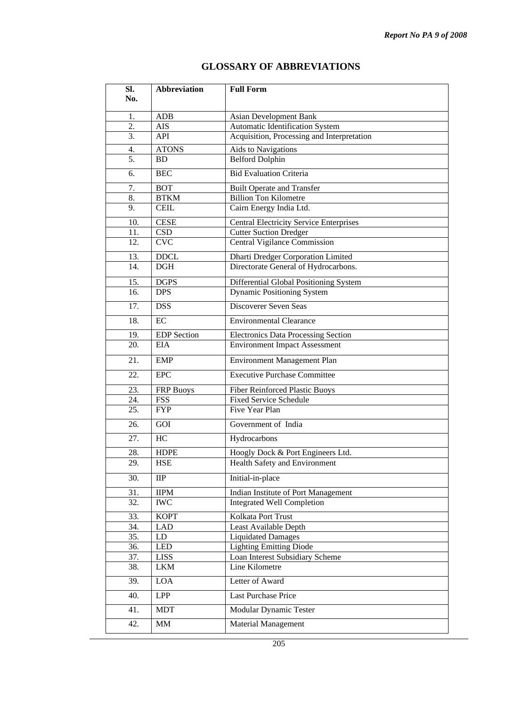## **Sl. No. Abbreviation Full Form**  1. ADB Asian Development Bank<br>
2. AIS Automatic Identification S AIS Automatic Identification System 3. API Acquisition, Processing and Interpretation 4. ATONS Aids to Navigations 5. BD Belford Dolphin 6. BEC Bid Evaluation Criteria 7. BOT Built Operate and Transfer 8. BTKM Billion Ton Kilometre 9. CEIL Cairn Energy India Ltd. 10. CESE Central Electricity Service Enterprises 11. CSD Cutter Suction Dredger 12. CVC Central Vigilance Commission 13. DDCL Dharti Dredger Corporation Limited 14. DGH Directorate General of Hydrocarbons. 15. DGPS Differential Global Positioning System 16. DPS Dynamic Positioning System 17. **DSS** Discoverer Seven Seas 18. EC Environmental Clearance 19. EDP Section Electronics Data Processing Section 20. EIA Environment Impact Assessment 21. EMP Environment Management Plan 22. EPC Executive Purchase Committee 23. FRP Buoys Fiber Reinforced Plastic Buoys<br>24. FSS Fixed Service Schedule FSS Fixed Service Schedule 25. FYP Five Year Plan 26. GOI Government of India 27. HC Hydrocarbons 28. HDPE Hoogly Dock & Port Engineers Ltd. 29. HSE Health Safety and Environment 30. IIP Initial-in-place 31. IIPM Indian Institute of Port Management 32. WC Integrated Well Completion 33. KOPT Kolkata Port Trust 34. LAD Least Available Depth 35. LD Liquidated Damages 36. LED Lighting Emitting Diode 37. LISS Loan Interest Subsidiary Scheme 38. LKM Line Kilometre 39. LOA Letter of Award 40. LPP Last Purchase Price

## **GLOSSARY OF ABBREVIATIONS**

41. MDT Modular Dynamic Tester 42. MM Material Management